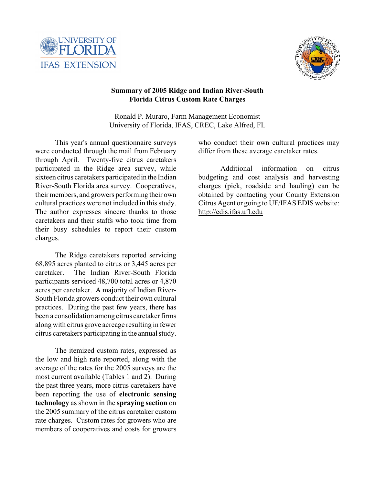



# **Summary of 2005 Ridge and Indian River-South Florida Citrus Custom Rate Charges**

Ronald P. Muraro, Farm Management Economist University of Florida, IFAS, CREC, Lake Alfred, FL

This year's annual questionnaire surveys were conducted through the mail from February through April. Twenty-five citrus caretakers participated in the Ridge area survey, while sixteen citrus caretakers participated in the Indian River-South Florida area survey. Cooperatives, their members, and growers performing their own cultural practices were not included in this study. The author expresses sincere thanks to those caretakers and their staffs who took time from their busy schedules to report their custom charges.

The Ridge caretakers reported servicing 68,895 acres planted to citrus or 3,445 acres per caretaker. The Indian River-South Florida participants serviced 48,700 total acres or 4,870 acres per caretaker. A majority of Indian River-South Florida growers conduct their own cultural practices. During the past few years, there has been a consolidation among citrus caretaker firms along with citrus grove acreage resulting in fewer citrus caretakers participating in the annual study.

The itemized custom rates, expressed as the low and high rate reported, along with the average of the rates for the 2005 surveys are the most current available (Tables 1 and 2). During the past three years, more citrus caretakers have been reporting the use of **electronic sensing technology** as shown in the **spraying section** on the 2005 summary of the citrus caretaker custom rate charges. Custom rates for growers who are members of cooperatives and costs for growers

who conduct their own cultural practices may differ from these average caretaker rates.

Additional information on citrus budgeting and cost analysis and harvesting charges (pick, roadside and hauling) can be obtained by contacting your County Extension Citrus Agent or going to UF/IFAS EDIS website: <http://edis.ifas.ufl.edu>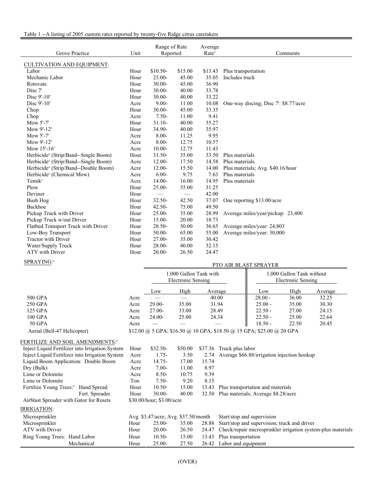### Table 1.--A listing of 2005 custom rates reported by twenty-five Ridge citrus caretakers

| Grove Practice                                   | Unit | Range of Rate<br>Reported     |         | Average<br>Rate <sup>y</sup> | Comments                             |
|--------------------------------------------------|------|-------------------------------|---------|------------------------------|--------------------------------------|
| <b>CULTIVATION AND EQUIPMENT:</b>                |      |                               |         |                              |                                      |
| Labor                                            | Hour | $$10.50-$                     | \$15.00 | \$13.43                      | Plus transportation                  |
| Mechanic Labor                                   | Hour | $25.00 -$                     | 45.00   | 35.05                        | Includes truck                       |
| Rotovate                                         | Hour | $30.00 -$                     | 45.00   | 36.90                        |                                      |
| Disc 7'                                          | Hour | 30.00-                        | 40.00   | 33.78                        |                                      |
| Disc 9'-10'                                      | Hour | 30.00-                        | 40.00   | 33.22                        |                                      |
| Disc 9'-10'                                      | Acre | $9.00 -$                      | 11.00   | 10.08                        | One-way discing; Disc 7: \$8.77/acre |
| Chop                                             | Hour | $30.00 -$                     | 45.00   | 33.35                        |                                      |
| Chop                                             | Acre | $7.50-$                       | 11.00   | 9.41                         |                                      |
| Mow 5'-7'                                        | Hour | $31.10 -$                     | 40.00   | 35.27                        |                                      |
| Mow 9'-12'                                       | Hour | 34.90-                        | 40.00   | 35.97                        |                                      |
| Mow 5'-7'                                        | Acre | $8.00 -$                      | 11.25   | 9.95                         |                                      |
| Mow 9'-12'                                       | Acre | $8.00 -$                      | 12.75   | 10.57                        |                                      |
| Mow 15'-16'                                      | Acre | $10.00 -$                     | 12.75   | 11.43                        |                                      |
| Herbicide <sup>z</sup> (Strip/Band--Single Boom) | Hour | $31.50 -$                     | 35.00   | 33.50                        | Plus materials                       |
| Herbicide <sup>z</sup> (Strip/Band--Single Boom) | Acre | $12.00 -$                     | 17.50   | 14.58                        | Plus materials                       |
| Herbicide <sup>z</sup> (Strip/Band--Double Boom) | Acre | $12.00 -$                     | 15.50   | 14.00                        | Plus materials; Avg. \$40.16/hour    |
| Herbicide <sup>z</sup> (Chemical Mow)            | Acre | $6.00 -$                      | 9.75    | 7.63                         | Plus materials                       |
| Temik <sup>z</sup>                               | Acre | 14.00-                        | 16.00   | 14.95                        | Plus materials                       |
| Plow                                             | Hour | $25.00 -$                     | 35.00   | 31.25                        |                                      |
| Deviner                                          | Hour | $\overbrace{\phantom{aaaaa}}$ |         | 42.00                        |                                      |
| Bush Hog                                         | Hour | $32.50 -$                     | 42.50   | 37.07                        | One reporting \$13.00/acre           |
| Backhoe                                          | Hour | $42.50 -$                     | 75.00   | 49.50                        |                                      |
| Pickup Truck with Driver                         | Hour | $25.00 -$                     | 35.00   | 28.99                        | Average miles/year/pickup: 23,400    |
| Pickup Truck w/out Driver                        | Hour | 15.00-                        | 20.00   | 18.73                        |                                      |
| Flatbed Transport Truck with Driver              | Hour | 28.50-                        | 50.00   | 36.65                        | Average miles/year: 24,803           |
| Low-Boy Transport                                | Hour | 50.00-                        | 65.00   | 55.00                        | Average miles/year: 30,000           |
| Tractor with Driver                              | Hour | $27.00 -$                     | 35.00   | 30.42                        |                                      |
| Water/Supply Truck                               | Hour | $28.00 -$                     | 40.00   | 32.15                        |                                      |
| ATV with Driver                                  | Hour | $20.00 -$                     | 26.50   | 24.47                        |                                      |
| $CDD$ A $VINIC.$                                 |      |                               |         |                              |                                      |

#### SPRAYING:

#### PTO AIR BLAST SPRAYER

|                             |      |          | 1,000 Gallon Tank with<br>Electronic Sensing |                                                                       | 1,000 Gallon Tank without<br>Electronic Sensing |       |         |
|-----------------------------|------|----------|----------------------------------------------|-----------------------------------------------------------------------|-------------------------------------------------|-------|---------|
|                             |      | Low      | High                                         | Average                                                               | Low                                             | High  | Average |
| 500 GPA                     | Acre |          |                                              | 40.00                                                                 | $28.00 -$                                       | 36.00 | 32.25   |
| 250 GPA                     | Acre | $29.00-$ | 35.00                                        | 31.94                                                                 | $25.00 -$                                       | 35.00 | 30.30   |
| 125 GPA                     | Acre | $27.00-$ | 33.00                                        | 28.49                                                                 | $22.50 -$                                       | 27.00 | 24.15   |
| 100 GPA                     | Acre | $24.00-$ | 25.00                                        | 24.34                                                                 | $22.50 -$                                       | 25.00 | 22.64   |
| 50 GPA                      | Acre |          |                                              |                                                                       | $18.50 -$                                       | 22.50 | 20.45   |
| Aerial (Bell-47 Helicopter) |      |          |                                              | \$12.00 @ 5 GPA; \$16.50 @ 10 GPA; \$18.50 @ 15 GPA; \$25.00 @ 20 GPA |                                                 |       |         |

## FERTILIZE AND SOIL AMENDMENTS:<sup>2</sup>

| Inject Liquid Fertilizer into Irrigation System | Hour | $$32.50-$                            | \$50.00 | \$37.36 | Truck plus labor                                             |
|-------------------------------------------------|------|--------------------------------------|---------|---------|--------------------------------------------------------------|
| Inject Liquid Fertilizer into Irrigation System | Acre | $1.75-$                              | 3.50    | 2.74    | Average \$66.88/irrigation injection hookup                  |
| Liquid Boom Application: Double Boom            | Acre | $14.75 -$                            | 17.00   | 15.74   |                                                              |
| Dry (Bulk)                                      | Acre | $7.00-$                              | 11.00   | 8.97    |                                                              |
| Lime or Dolomite                                | Acre | $8.50 -$                             | 10.75   | 9.39    |                                                              |
| Lime or Dolomite                                | Ton  | $7.50-$                              | 9.20    | 8.15    |                                                              |
| Fertilize Young Trees: <sup>2</sup> Hand Spread | Hour | $10.50-$                             | 15.00   | 13.43   | Plus transportation and materials                            |
| Fert. Spreader                                  | Hour | $30.00 -$                            | 40.00   |         | 32.50 Plus materials; Average \$8.28/acre                    |
| Airblast Spreader with Gator for Resets         |      | \$30.00/hour; \$3.00/acre            |         |         |                                                              |
| IRRIGATION:                                     |      |                                      |         |         |                                                              |
| Microsprinkler                                  |      | Avg. \$3.47/acre; Avg. \$37.50/month |         |         | Start/stop and supervision                                   |
| Microsprinkler                                  | Hour | $25.00 -$                            | 35.00   | 28.88   | Start/stop and supervision; truck and driver                 |
| ATV with Driver                                 | Hour | $20.00-$                             | 26.50   | 24.47   | Check/repair microsprinkler irrigation system-plus materials |
| Ring Young Trees: Hand Labor                    | Hour | $10.50 -$                            | 15.00   | 13.43   | Plus transportation                                          |
| Mechanical                                      | Hour | $25.00 -$                            | 27.50   | 26.42   | Labor and equipment                                          |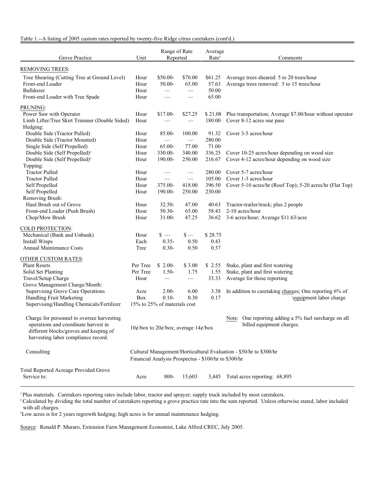Table 1.--A listing of 2005 custom rates reported by twenty-five Ridge citrus caretakers (cont'd.)

| Grove Practice                                                                                                                                                      | Unit                         | Range of Rate<br>Reported                                |                                                   | Average<br>Rate <sup>y</sup>         | Comments                                                                                                               |
|---------------------------------------------------------------------------------------------------------------------------------------------------------------------|------------------------------|----------------------------------------------------------|---------------------------------------------------|--------------------------------------|------------------------------------------------------------------------------------------------------------------------|
| <b>REMOVING TREES:</b>                                                                                                                                              |                              |                                                          |                                                   |                                      |                                                                                                                        |
| Tree Shearing (Cutting Tree at Ground Level)<br>Front-end Loader<br>Bulldozer<br>Front-end Loader with Tree Spade                                                   | Hour<br>Hour<br>Hour<br>Hour | \$50.00-<br>50.00-<br>$\hspace{0.1mm}-\hspace{0.1mm}$    | \$70.00<br>65.00<br>$\overline{\phantom{m}}$      | \$61.25<br>57.63<br>50.00<br>65.00   | Average trees sheared: 5 to 20 trees/hour<br>Average trees removed: 5 to 15 trees/hour                                 |
| PRUNING:<br>Power Saw with Operator<br>Limb Lifter/Tree Skirt Trimmer (Double Sided)<br>Hedging:<br>Double Side (Tractor Pulled)                                    | Hour<br>Hour<br>Hour         | $$17.00-$<br>85.00-                                      | \$27.25<br>100.00                                 | 180.00<br>91.32                      | \$21.08 Plus transportation; Average \$7.00/hour without operator<br>Cover 8-12 acres one pass<br>Cover 3-5 acres/hour |
| Double Side (Tractor Mounted)<br>Single Side (Self Propelled)<br>Double Side (Self Propelled) <sup>x</sup><br>Double Side (Self Propelled) <sup>x</sup>             | Hour<br>Hour<br>Hour<br>Hour | $\overline{\phantom{m}}$<br>65.00-<br>330.00-<br>190.00- | 77.00<br>340.00<br>250.00                         | 280.00<br>71.00<br>336.25<br>216.67  | Cover 10-25 acres/hour depending on wood size<br>Cover 4-12 acres/hour depending on wood size                          |
| Topping:<br><b>Tractor Pulled</b><br><b>Tractor Pulled</b><br>Self Propelled<br>Self Propelled                                                                      | Hour<br>Hour<br>Hour<br>Hour | 375.00-<br>190.00-                                       | $\hspace{0.05cm}$<br>418.00<br>250.00             | 280.00<br>105.00<br>396.50<br>230.00 | Cover 5-7 acres/hour<br>Cover 1-3 acres/hour<br>Cover 5-10 acres/hr (Roof Top); 5-20 acres/hr (Flat Top)               |
| Removing Brush:<br>Haul Brush out of Grove<br>Front-end Loader (Push Brush)<br>Chop/Mow Brush                                                                       | Hour<br>Hour<br>Hour         | $32.50 -$<br>$50.30-$<br>31.00-                          | 47.00<br>65.00<br>47.25                           | 40.63<br>58.43<br>36.62              | Tractor-trailer/truck; plus 2 people<br>2-10 acres/hour<br>3-6 acres/hour; Average \$11.63/acre                        |
| COLD PROTECTION:<br>Mechanical (Bank and Unbank)<br>Install Wraps<br><b>Annual Maintenance Costs</b>                                                                | Hour<br>Each<br>Tree         | $s -$<br>$0.35 -$<br>$0.30 -$                            | $\frac{1}{2}$<br>0.50<br>0.50                     | \$28.75<br>0.43<br>0.37              |                                                                                                                        |
| OTHER CUSTOM RATES:<br><b>Plant Resets</b><br>Solid Set Planting<br>Travel/Setup Charge<br>Grove Management Charge/Month:                                           | Per Tree<br>Per Tree<br>Hour | $$2.00-$<br>$1.50-$<br>$\hspace{0.05cm}$                 | \$3.00<br>1.75<br>$\hspace{0.1mm}-\hspace{0.1mm}$ | \$2.55<br>1.55<br>33.33              | Stake, plant and first watering<br>Stake, plant and first watering<br>Average for those reporting                      |
| <b>Supervising Grove Care Operations</b><br>Handling Fruit Marketing<br>Supervising/Handling Chemicals/Fertilizer                                                   | Acre<br>Box                  | $2.00 -$<br>$0.10-$<br>15% to 25% of materials cost      | 6.00<br>0.30                                      | 3.38<br>0.17                         | In addition to caretaking charges; One reporting 6% of<br>\equipment labor charge                                      |
| Charge for personnel to oversee harvesting<br>operations and coordinate harvest in<br>different blocks/groves and keeping of<br>harvesting labor compliance record. |                              | 10¢/box to 20¢/box; average 14¢/box                      |                                                   |                                      | Note: One reporting adding a 5% fuel surcharge on all<br>billed equipment charges.                                     |
| Consulting                                                                                                                                                          |                              | Financial Analysis Prospectus - \$100/hr to \$300/hr     |                                                   |                                      | Cultural Management/Horticultural Evaluation - \$50/hr to \$300/hr                                                     |
| Total Reported Acreage Provided Grove<br>Service to:                                                                                                                | Acre                         | 800-                                                     | 15,603                                            | 3,445                                | Total acres reporting: 68,895                                                                                          |

<sup>z</sup> Plus materials. Caretakers reporting rates include labor, tractor and sprayer; supply truck included by most caretakers.

<sup>y</sup> Calculated by dividing the total number of caretakers reporting a grove practice rate into the sum reported. Unless otherwise stated, labor included with all charges.

<sup>x</sup>Low acres is for 2 years regrowth hedging; high acres is for annual maintenance hedging.

Source: Ronald P. Muraro, Extension Farm Management Economist, Lake Alfred CREC, July 2005.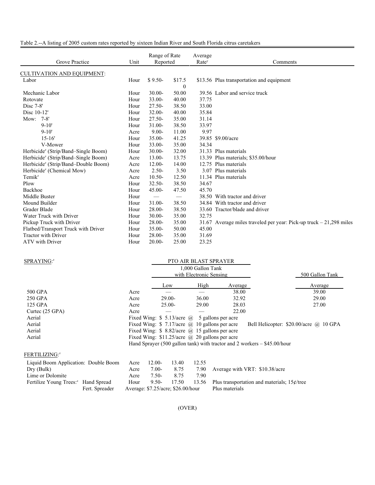| Grove Practice                                  | Unit | Range of Rate<br>Reported |              | Average<br>Rate <sup>y</sup> | Comments                                                             |
|-------------------------------------------------|------|---------------------------|--------------|------------------------------|----------------------------------------------------------------------|
| <b>CULTIVATION AND EQUIPMENT:</b>               |      |                           |              |                              |                                                                      |
| Labor                                           | Hour | $$9.50-$                  | \$17.5       |                              | \$13.56 Plus transportation and equipment                            |
|                                                 |      |                           | $\mathbf{0}$ |                              |                                                                      |
| Mechanic Labor                                  | Hour | $30.00 -$                 | 50.00        |                              | 39.56 Labor and service truck                                        |
| Rotovate                                        | Hour | $33.00 -$                 | 40.00        | 37.75                        |                                                                      |
| Disc $7-8$ '                                    | Hour | $27.50 -$                 | 38.50        | 33.00                        |                                                                      |
| Disc 10-12'                                     | Hour | $32.00 -$                 | 40.00        | 35.84                        |                                                                      |
| Mow: 7-8'                                       | Hour | $27.50 -$                 | 35.00        | 31.14                        |                                                                      |
| $9 - 10'$                                       | Hour | $31.00 -$                 | 38.50        | 33.97                        |                                                                      |
| $9 - 10'$                                       | Acre | $9.00 -$                  | 11.00        | 9.97                         |                                                                      |
| $15 - 16'$                                      | Hour | $35.00 -$                 | 41.25        |                              | 39.85 \$9.00/acre                                                    |
| V-Mower                                         | Hour | $33.00 -$                 | 35.00        | 34.34                        |                                                                      |
| Herbicide <sup>z</sup> (Strip/Band–Single Boom) | Hour | $30.00 -$                 | 32.00        |                              | 31.33 Plus materials                                                 |
| Herbicide <sup>z</sup> (Strip/Band-Single Boom) | Acre | 13.00-                    | 13.75        |                              | 13.39 Plus materials; \$35.00/hour                                   |
| Herbicide <sup>z</sup> (Strip/Band–Double Boom) | Acre | $12.00 -$                 | 14.00        |                              | 12.75 Plus materials                                                 |
| Herbicide <sup>z</sup> (Chemical Mow)           | Acre | $2.50-$                   | 3.50         |                              | 3.07 Plus materials                                                  |
| Temik <sup>z</sup>                              | Acre | $10.50 -$                 | 12.50        |                              | 11.34 Plus materials                                                 |
| Plow                                            | Hour | $32.50 -$                 | 38.50        | 34.67                        |                                                                      |
| Backhoe                                         | Hour | 45.00-                    | 47.50        | 45.70                        |                                                                      |
| Middle Buster                                   | Hour |                           |              |                              | 38.50 With tractor and driver                                        |
| Mound Builder                                   | Hour | $31.00 -$                 | 38.50        |                              | 34.84 With tractor and driver                                        |
| Grader Blade                                    | Hour | $28.00 -$                 | 38.50        |                              | 33.60 Tractor/blade and driver                                       |
| Water Truck with Driver                         | Hour | $30.00 -$                 | 35.00        | 32.75                        |                                                                      |
| Pickup Truck with Driver                        | Hour | $28.00 -$                 | 35.00        |                              | 31.67 Average miles traveled per year: Pick-up truck $-21,298$ miles |
| Flatbed/Transport Truck with Driver             | Hour | $35.00 -$                 | 50.00        | 45.00                        |                                                                      |
| <b>Tractor with Driver</b>                      | Hour | $28.00 -$                 | 35.00        | 31.69                        |                                                                      |
| ATV with Driver                                 | Hour | $20.00 -$                 | 25.00        | 23.25                        |                                                                      |

| SPRAYING: <sup>z</sup>                          |                                                                                           |                                                 |           | PTO AIR BLAST SPRAYER                        |                                                            |                                                                            |  |
|-------------------------------------------------|-------------------------------------------------------------------------------------------|-------------------------------------------------|-----------|----------------------------------------------|------------------------------------------------------------|----------------------------------------------------------------------------|--|
|                                                 |                                                                                           |                                                 |           | 1,000 Gallon Tank<br>with Electronic Sensing |                                                            | 500 Gallon Tank                                                            |  |
|                                                 |                                                                                           |                                                 | Low       | High                                         | Average                                                    | Average                                                                    |  |
| 500 GPA                                         | Acre                                                                                      |                                                 |           |                                              | 38.00                                                      | 39.00                                                                      |  |
| 250 GPA                                         | Acre                                                                                      |                                                 | $29.00 -$ | 36.00                                        | 32.92                                                      | 29.00                                                                      |  |
| 125 GPA                                         | Acre                                                                                      |                                                 | $25.00 -$ | 29.00                                        | 28.03                                                      | 27.00                                                                      |  |
| Curtec (25 GPA)                                 | Acre                                                                                      |                                                 |           |                                              | 22.00                                                      |                                                                            |  |
| Aerial                                          |                                                                                           |                                                 |           |                                              | Fixed Wing: $\frac{1}{2}$ 5.13/acre (a) 5 gallons per acre |                                                                            |  |
| Aerial                                          | Fixed Wing: $$7.17/acre$ @ 10 gallons per acre<br>Bell Helicopter: $$20.00/acre$ @ 10 GPA |                                                 |           |                                              |                                                            |                                                                            |  |
| Aerial                                          | Fixed Wing: $$8.82/acre$ ( $@$ 15 gallons per acre                                        |                                                 |           |                                              |                                                            |                                                                            |  |
| Aerial                                          |                                                                                           | Fixed Wing: $$11.25/acre$ @ 20 gallons per acre |           |                                              |                                                            |                                                                            |  |
|                                                 |                                                                                           |                                                 |           |                                              |                                                            | Hand Sprayer (500 gallon tank) with tractor and 2 workers $-$ \$45.00/hour |  |
| FERTILIZING: <sup>2</sup>                       |                                                                                           |                                                 |           |                                              |                                                            |                                                                            |  |
| Liquid Boom Application: Double Boom            | Acre                                                                                      | $12.00 -$                                       | 13.40     | 12.55                                        |                                                            |                                                                            |  |
| Dry (Bulk)                                      | Acre                                                                                      | $7.00 -$                                        | 8.75      | 7.90                                         |                                                            | Average with VRT: \$10.38/acre                                             |  |
| Lime or Dolomite                                | Acre                                                                                      | $7.50-$                                         | 8.75      | 7.90                                         |                                                            |                                                                            |  |
| Fertilize Young Trees: <sup>2</sup> Hand Spread | Hour                                                                                      | $9.50 -$                                        | 17.50     | 13.56                                        |                                                            | Plus transportation and materials; $15¢$ /tree                             |  |
| Fert. Spreader                                  | Average: $$7.25/acre$ ; $$26.00/hour$                                                     |                                                 |           |                                              | Plus materials                                             |                                                                            |  |